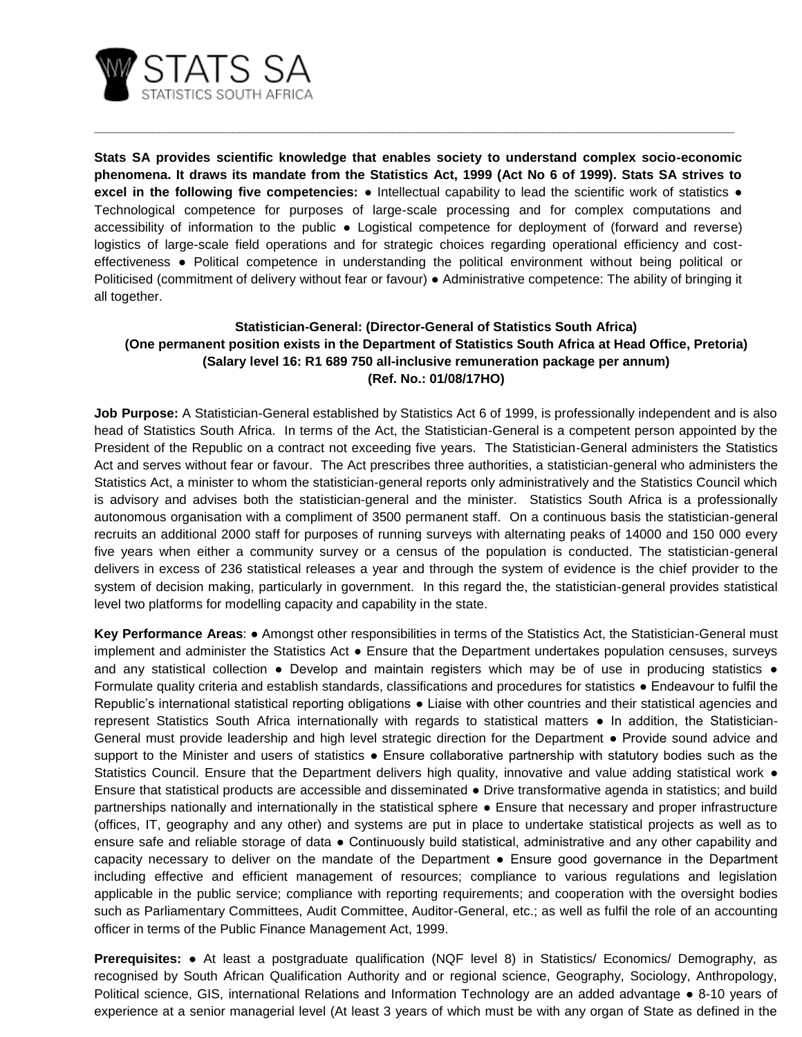

**Stats SA provides scientific knowledge that enables society to understand complex socio-economic phenomena. It draws its mandate from the Statistics Act, 1999 (Act No 6 of 1999). Stats SA strives to excel in the following five competencies:** ● Intellectual capability to lead the scientific work of statistics ● Technological competence for purposes of large-scale processing and for complex computations and accessibility of information to the public ● Logistical competence for deployment of (forward and reverse) logistics of large-scale field operations and for strategic choices regarding operational efficiency and costeffectiveness ● Political competence in understanding the political environment without being political or Politicised (commitment of delivery without fear or favour) ● Administrative competence: The ability of bringing it all together.

**\_\_\_\_\_\_\_\_\_\_\_\_\_\_\_\_\_\_\_\_\_\_\_\_\_\_\_\_\_\_\_\_\_\_\_\_\_\_\_\_\_\_\_\_\_\_\_\_\_\_\_\_\_\_\_\_\_\_\_\_\_\_\_\_\_\_\_\_\_\_\_\_\_\_\_\_\_\_\_\_\_\_\_\_\_\_\_\_**

## **Statistician-General: (Director-General of Statistics South Africa) (One permanent position exists in the Department of Statistics South Africa at Head Office, Pretoria) (Salary level 16: R1 689 750 all-inclusive remuneration package per annum) (Ref. No.: 01/08/17HO)**

**Job Purpose:** A Statistician-General established by Statistics Act 6 of 1999, is professionally independent and is also head of Statistics South Africa. In terms of the Act, the Statistician-General is a competent person appointed by the President of the Republic on a contract not exceeding five years. The Statistician-General administers the Statistics Act and serves without fear or favour. The Act prescribes three authorities, a statistician-general who administers the Statistics Act, a minister to whom the statistician-general reports only administratively and the Statistics Council which is advisory and advises both the statistician-general and the minister. Statistics South Africa is a professionally autonomous organisation with a compliment of 3500 permanent staff. On a continuous basis the statistician-general recruits an additional 2000 staff for purposes of running surveys with alternating peaks of 14000 and 150 000 every five years when either a community survey or a census of the population is conducted. The statistician-general delivers in excess of 236 statistical releases a year and through the system of evidence is the chief provider to the system of decision making, particularly in government. In this regard the, the statistician-general provides statistical level two platforms for modelling capacity and capability in the state.

**Key Performance Areas**: ● Amongst other responsibilities in terms of the Statistics Act, the Statistician-General must implement and administer the Statistics Act ● Ensure that the Department undertakes population censuses, surveys and any statistical collection • Develop and maintain registers which may be of use in producing statistics • Formulate quality criteria and establish standards, classifications and procedures for statistics ● Endeavour to fulfil the Republic's international statistical reporting obligations ● Liaise with other countries and their statistical agencies and represent Statistics South Africa internationally with regards to statistical matters ● In addition, the Statistician-General must provide leadership and high level strategic direction for the Department ● Provide sound advice and support to the Minister and users of statistics • Ensure collaborative partnership with statutory bodies such as the Statistics Council. Ensure that the Department delivers high quality, innovative and value adding statistical work ● Ensure that statistical products are accessible and disseminated ● Drive transformative agenda in statistics; and build partnerships nationally and internationally in the statistical sphere ● Ensure that necessary and proper infrastructure (offices, IT, geography and any other) and systems are put in place to undertake statistical projects as well as to ensure safe and reliable storage of data ● Continuously build statistical, administrative and any other capability and capacity necessary to deliver on the mandate of the Department ● Ensure good governance in the Department including effective and efficient management of resources; compliance to various regulations and legislation applicable in the public service; compliance with reporting requirements; and cooperation with the oversight bodies such as Parliamentary Committees, Audit Committee, Auditor-General, etc.; as well as fulfil the role of an accounting officer in terms of the Public Finance Management Act, 1999.

**Prerequisites:** ● At least a postgraduate qualification (NQF level 8) in Statistics/ Economics/ Demography, as recognised by South African Qualification Authority and or regional science, Geography, Sociology, Anthropology, Political science, GIS, international Relations and Information Technology are an added advantage ● 8-10 years of experience at a senior managerial level (At least 3 years of which must be with any organ of State as defined in the